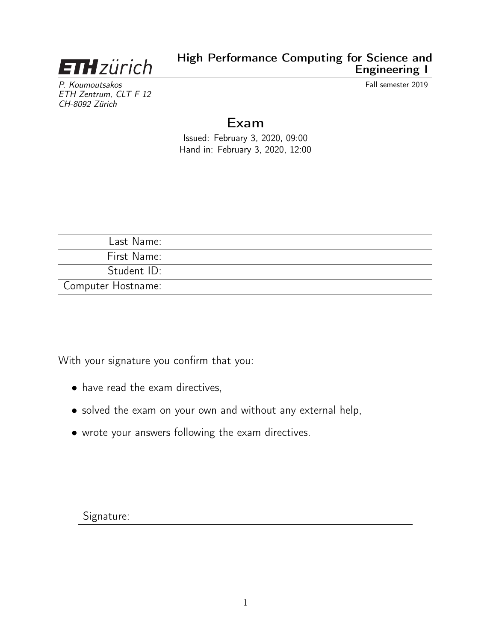

P. Koumoutsakos Fall semester 2019 ETH Zentrum, CLT F 12 CH-8092 Zürich

## Exam

Issued: February 3, 2020, 09:00 Hand in: February 3, 2020, 12:00

| Last Name:         |  |
|--------------------|--|
| First Name:        |  |
| Student ID:        |  |
| Computer Hostname: |  |

With your signature you confirm that you:

- have read the exam directives,
- solved the exam on your own and without any external help,
- wrote your answers following the exam directives.

Signature: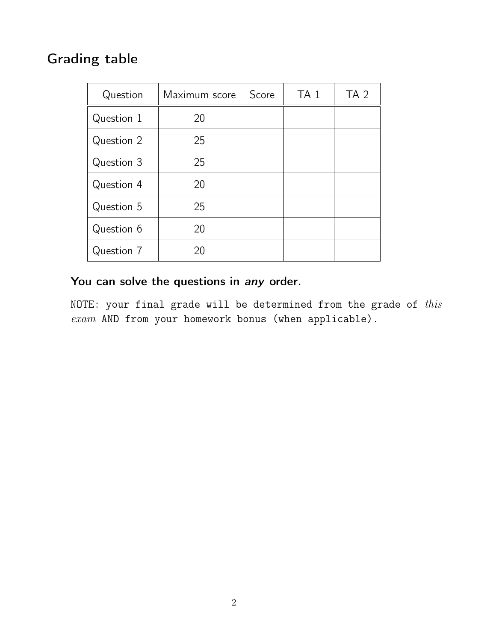# Grading table

| Question   | Maximum score | Score | TA <sub>1</sub> | TA <sub>2</sub> |
|------------|---------------|-------|-----------------|-----------------|
| Question 1 | 20            |       |                 |                 |
| Question 2 | 25            |       |                 |                 |
| Question 3 | 25            |       |                 |                 |
| Question 4 | 20            |       |                 |                 |
| Question 5 | 25            |       |                 |                 |
| Question 6 | 20            |       |                 |                 |
| Question 7 | 20            |       |                 |                 |

## You can solve the questions in any order.

NOTE: your final grade will be determined from the grade of  $this$ exam AND from your homework bonus (when applicable).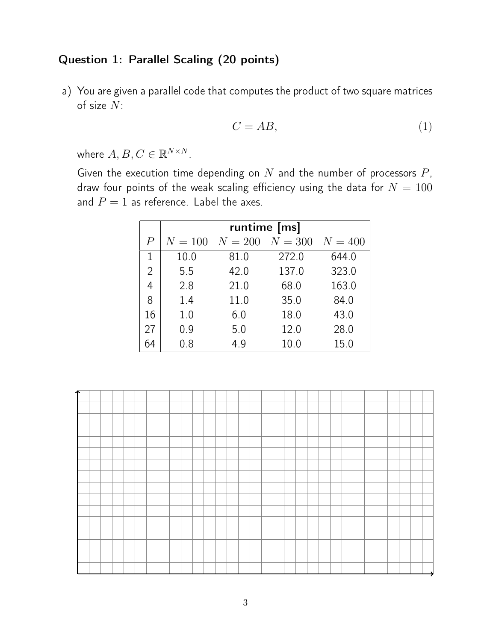### Question 1: Parallel Scaling (20 points)

a) You are given a parallel code that computes the product of two square matrices of size N:

$$
C = AB,\tag{1}
$$

where  $A, B, C \in \mathbb{R}^{N \times N}$ .

Given the execution time depending on  $N$  and the number of processors  $P$ , draw four points of the weak scaling efficiency using the data for  $N = 100$ and  $P = 1$  as reference. Label the axes.

|                | runtime [ms] |         |           |           |  |  |
|----------------|--------------|---------|-----------|-----------|--|--|
| $\overline{P}$ | $N = 100$    | $N=200$ | $N = 300$ | $N = 400$ |  |  |
| 1              | 10.0         | 81.0    | 272.0     | 644.0     |  |  |
| $\overline{2}$ | 5.5          | 42.0    | 137.0     | 323.0     |  |  |
| 4              | 2.8          | 21.0    | 68.0      | 163.0     |  |  |
| 8              | 1.4          | 11.0    | 35.0      | 84.0      |  |  |
| 16             | 1.0          | 6.0     | 18.0      | 43.0      |  |  |
| 27             | 0.9          | 5.0     | 12.0      | 28.0      |  |  |
| 64             | 0.8          | 4.9     | 10.0      | 15.0      |  |  |

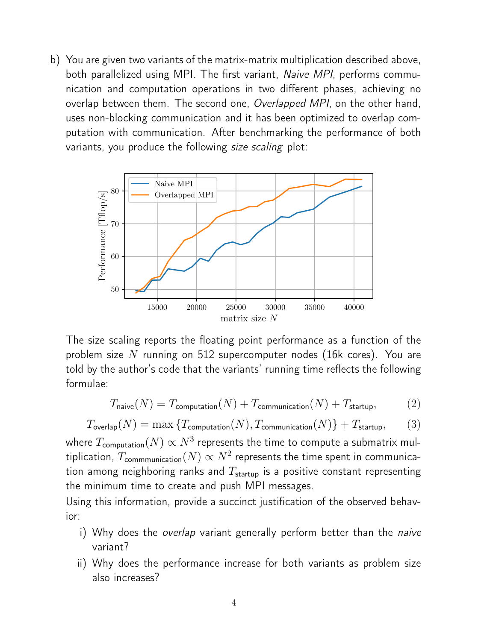b) You are given two variants of the matrix-matrix multiplication described above, both parallelized using MPI. The first variant, Naive MPI, performs communication and computation operations in two different phases, achieving no overlap between them. The second one, Overlapped MPI, on the other hand, uses non-blocking communication and it has been optimized to overlap computation with communication. After benchmarking the performance of both variants, you produce the following size scaling plot:



The size scaling reports the floating point performance as a function of the problem size  $N$  running on 512 supercomputer nodes (16k cores). You are told by the author's code that the variants' running time reflects the following formulae:

$$
T_{\text{naive}}(N) = T_{\text{computation}}(N) + T_{\text{communication}}(N) + T_{\text{startup}},\tag{2}
$$

$$
T_{\text{overlap}}(N) = \max\left\{T_{\text{computation}}(N), T_{\text{communication}}(N)\right\} + T_{\text{startup}},\tag{3}
$$

where  $T_{\mathsf{computation}}(N) \propto N^3$  represents the time to compute a submatrix multiplication,  $T_{\mathsf{commmu}$ ication $(N) \propto N^2$  represents the time spent in communication among neighboring ranks and  $T_{\text{startup}}$  is a positive constant representing the minimum time to create and push MPI messages.

Using this information, provide a succinct justification of the observed behavior:

- i) Why does the overlap variant generally perform better than the naive variant?
- ii) Why does the performance increase for both variants as problem size also increases?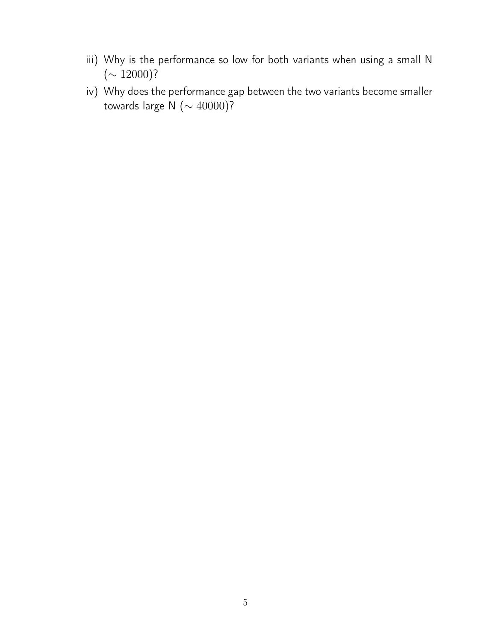- iii) Why is the performance so low for both variants when using a small N  $({\sim 12000})$ ?
- iv) Why does the performance gap between the two variants become smaller towards large N (∼ 40000)?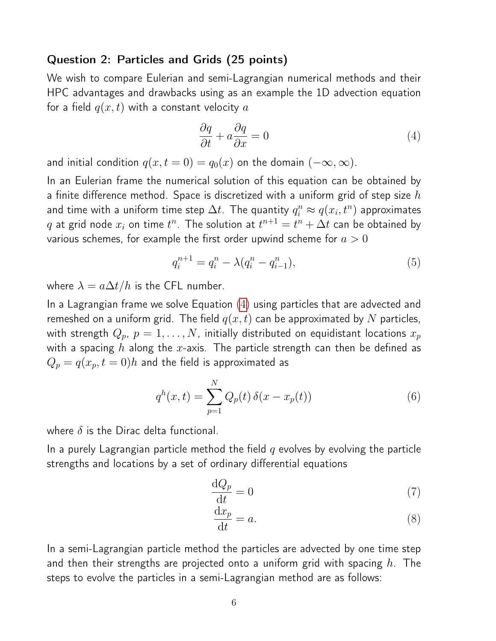#### Question 2: Particles and Grids (25 points)

We wish to compare Eulerian and semi-Lagrangian numerical methods and their HPC advantages and drawbacks using as an example the 1D advection equation for a field  $q(x, t)$  with a constant velocity a

<span id="page-5-0"></span>
$$
\frac{\partial q}{\partial t} + a \frac{\partial q}{\partial x} = 0 \tag{4}
$$

and initial condition  $q(x, t = 0) = q_0(x)$  on the domain  $(-\infty, \infty)$ .

In an Eulerian frame the numerical solution of this equation can be obtained by a finite difference method. Space is discretized with a uniform grid of step size  $h$ and time with a uniform time step  $\Delta t$ . The quantity  $q_i^n \approx q(x_i,t^n)$  approximates  $q$  at grid node  $x_i$  on time  $t^n$ . The solution at  $t^{n+1} = t^n + \Delta t$  can be obtained by various schemes, for example the first order upwind scheme for  $a > 0$ 

<span id="page-5-3"></span>
$$
q_i^{n+1} = q_i^n - \lambda (q_i^n - q_{i-1}^n), \tag{5}
$$

where  $\lambda = a \Delta t / h$  is the CFL number.

In a Lagrangian frame we solve Equation [\(4\)](#page-5-0) using particles that are advected and remeshed on a uniform grid. The field  $q(x, t)$  can be approximated by N particles, with strength  $Q_p$ ,  $p = 1, ..., N$ , initially distributed on equidistant locations  $x_p$ with a spacing h along the x-axis. The particle strength can then be defined as  $Q_p = q(x_p, t = 0)h$  and the field is approximated as

$$
q^{h}(x,t) = \sum_{p=1}^{N} Q_{p}(t) \,\delta(x - x_{p}(t))
$$
\n(6)

where  $\delta$  is the Dirac delta functional.

In a purely Lagrangian particle method the field  $q$  evolves by evolving the particle strengths and locations by a set of ordinary differential equations

<span id="page-5-1"></span>
$$
\frac{\mathrm{d}Q_p}{\mathrm{d}t} = 0\tag{7}
$$

<span id="page-5-2"></span>
$$
\frac{\mathrm{d}x_p}{\mathrm{d}t} = a.\tag{8}
$$

In a semi-Lagrangian particle method the particles are advected by one time step and then their strengths are projected onto a uniform grid with spacing  $h$ . The steps to evolve the particles in a semi-Lagrangian method are as follows: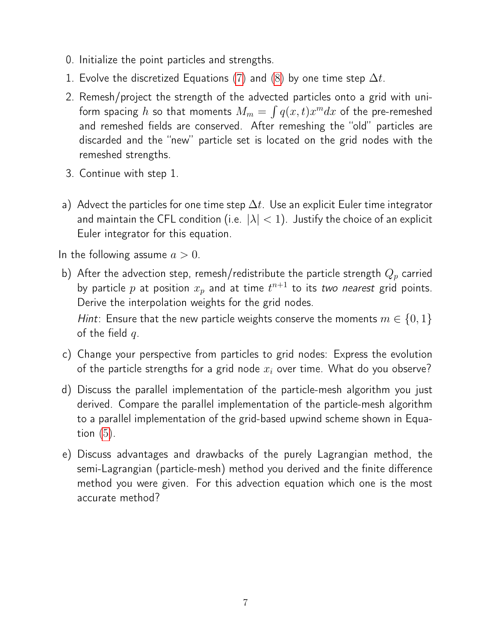- 0. Initialize the point particles and strengths.
- 1. Evolve the discretized Equations [\(7\)](#page-5-1) and [\(8\)](#page-5-2) by one time step  $\Delta t$ .
- 2. Remesh/project the strength of the advected particles onto a grid with uniform spacing  $h$  so that moments  $M_m = \int q(x,t) x^m dx$  of the pre-remeshed and remeshed fields are conserved. After remeshing the "old" particles are discarded and the "new" particle set is located on the grid nodes with the remeshed strengths.
- 3. Continue with step 1.
- a) Advect the particles for one time step  $\Delta t$ . Use an explicit Euler time integrator and maintain the CFL condition (i.e.  $|\lambda| < 1$ ). Justify the choice of an explicit Euler integrator for this equation.

In the following assume  $a > 0$ .

b) After the advection step, remesh/redistribute the particle strength  $Q_p$  carried by particle  $p$  at position  $x_p$  and at time  $t^{n+1}$  to its *two nearest* grid points. Derive the interpolation weights for the grid nodes.

Hint: Ensure that the new particle weights conserve the moments  $m \in \{0, 1\}$ of the field  $q$ .

- c) Change your perspective from particles to grid nodes: Express the evolution of the particle strengths for a grid node  $x_i$  over time. What do you observe?
- d) Discuss the parallel implementation of the particle-mesh algorithm you just derived. Compare the parallel implementation of the particle-mesh algorithm to a parallel implementation of the grid-based upwind scheme shown in Equation  $(5)$ .
- e) Discuss advantages and drawbacks of the purely Lagrangian method, the semi-Lagrangian (particle-mesh) method you derived and the finite difference method you were given. For this advection equation which one is the most accurate method?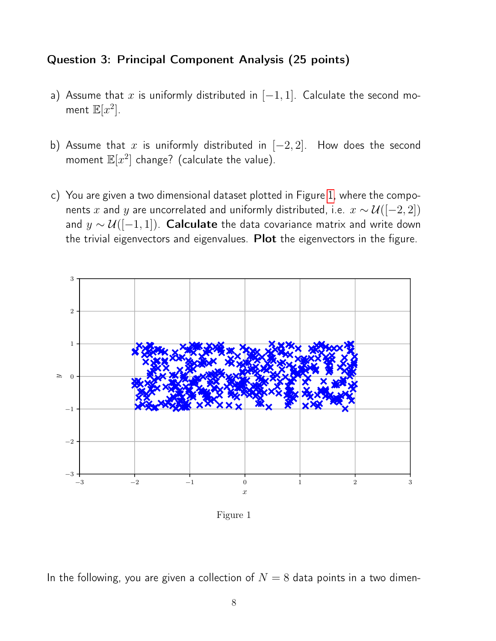#### Question 3: Principal Component Analysis (25 points)

- a) Assume that  $x$  is uniformly distributed in  $[-1, 1]$ . Calculate the second moment  $\mathbb{E}[x^2]$ .
- b) Assume that x is uniformly distributed in  $[-2, 2]$ . How does the second moment  $\mathbb{E}[x^2]$  change? (calculate the value).
- c) You are given a two dimensional dataset plotted in Figure [1,](#page-7-0) where the components x and y are uncorrelated and uniformly distributed, i.e.  $x \sim \mathcal{U}([-2, 2])$ and  $y \sim \mathcal{U}([-1, 1])$ . **Calculate** the data covariance matrix and write down the trivial eigenvectors and eigenvalues. Plot the eigenvectors in the figure.

<span id="page-7-0"></span>

Figure 1

In the following, you are given a collection of  $N = 8$  data points in a two dimen-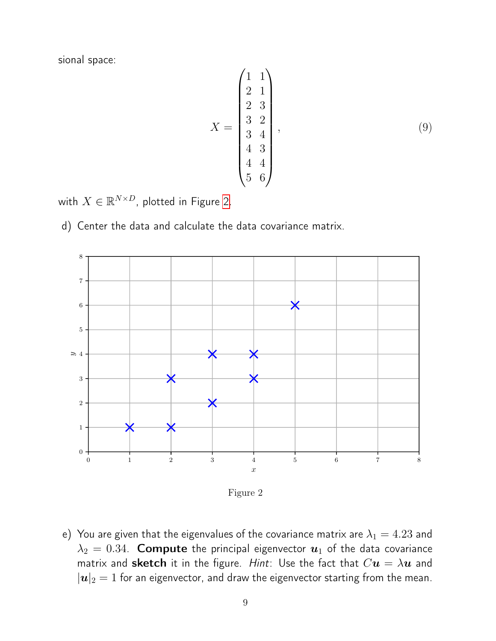sional space:

$$
X = \begin{pmatrix} 1 & 1 \\ 2 & 1 \\ 2 & 3 \\ 3 & 2 \\ 3 & 4 \\ 4 & 3 \\ 4 & 4 \\ 5 & 6 \end{pmatrix},
$$
 (9)

with  $X \in \mathbb{R}^{N \times D}$ , plotted in Figure [2.](#page-8-0)

d) Center the data and calculate the data covariance matrix.

<span id="page-8-0"></span>

Figure 2

e) You are given that the eigenvalues of the covariance matrix are  $\lambda_1 = 4.23$  and  $\lambda_2 = 0.34$ . Compute the principal eigenvector  $\boldsymbol{u}_1$  of the data covariance matrix and sketch it in the figure. Hint: Use the fact that  $Cu = \lambda u$  and  $|\boldsymbol{u}|_2=1$  for an eigenvector, and draw the eigenvector starting from the mean.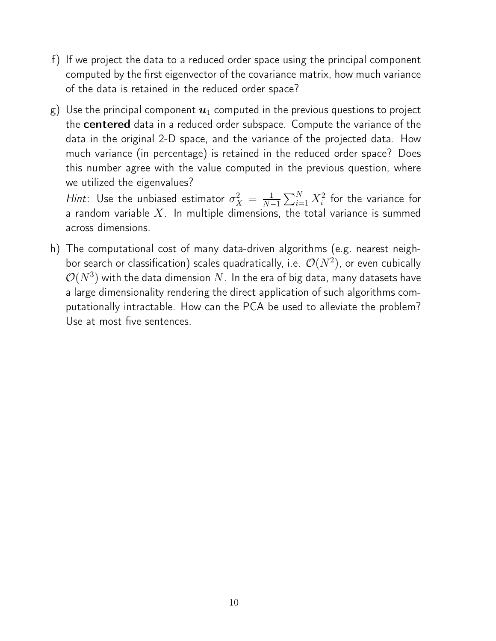- f) If we project the data to a reduced order space using the principal component computed by the first eigenvector of the covariance matrix, how much variance of the data is retained in the reduced order space?
- g) Use the principal component  $u_1$  computed in the previous questions to project the **centered** data in a reduced order subspace. Compute the variance of the data in the original 2-D space, and the variance of the projected data. How much variance (in percentage) is retained in the reduced order space? Does this number agree with the value computed in the previous question, where we utilized the eigenvalues?

*Hint*: Use the unbiased estimator  $\sigma_X^2 = \frac{1}{N-1}$  $\frac{1}{N-1}\sum_{i=1}^N X_i^2$  for the variance for a random variable  $X$ . In multiple dimensions, the total variance is summed across dimensions.

h) The computational cost of many data-driven algorithms (e.g. nearest neighbor search or classification) scales quadratically, i.e.  $\mathcal{O}(N^2)$ , or even cubically  $\mathcal{O}(N^3)$  with the data dimension  $N.$  In the era of big data, many datasets have a large dimensionality rendering the direct application of such algorithms computationally intractable. How can the PCA be used to alleviate the problem? Use at most five sentences.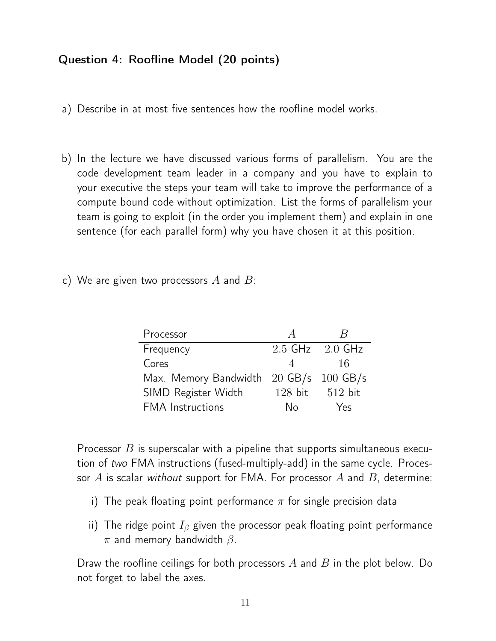## Question 4: Roofline Model (20 points)

- a) Describe in at most five sentences how the roofline model works.
- b) In the lecture we have discussed various forms of parallelism. You are the code development team leader in a company and you have to explain to your executive the steps your team will take to improve the performance of a compute bound code without optimization. List the forms of parallelism your team is going to exploit (in the order you implement them) and explain in one sentence (for each parallel form) why you have chosen it at this position.
- c) We are given two processors  $A$  and  $B$ :

| Processor                              |           | К                   |
|----------------------------------------|-----------|---------------------|
| Frequency                              |           | $2.5$ GHz $2.0$ GHz |
| Cores                                  |           | 16                  |
| Max. Memory Bandwidth 20 GB/s 100 GB/s |           |                     |
| SIMD Register Width                    | $128$ bit | 512 bit             |
| <b>FMA</b> Instructions                | N٥        | Yes                 |

Processor  $B$  is superscalar with a pipeline that supports simultaneous execution of two FMA instructions (fused-multiply-add) in the same cycle. Processor  $A$  is scalar without support for FMA. For processor  $A$  and  $B$ , determine:

- i) The peak floating point performance  $\pi$  for single precision data
- ii) The ridge point  $I_\beta$  given the processor peak floating point performance  $\pi$  and memory bandwidth  $\beta$ .

Draw the roofline ceilings for both processors  $A$  and  $B$  in the plot below. Do not forget to label the axes.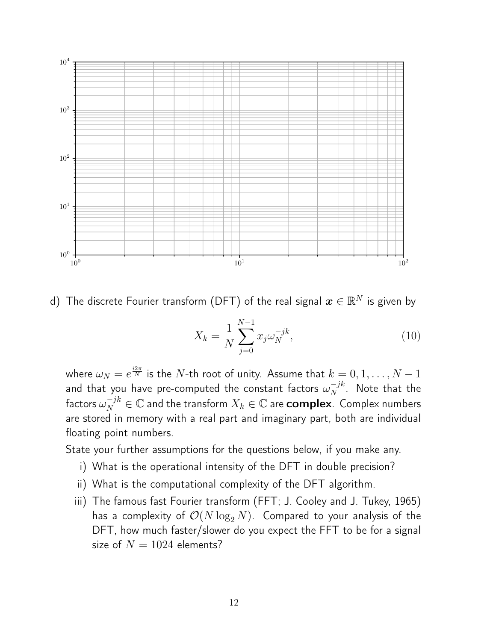

d) The discrete Fourier transform (DFT) of the real signal  $\boldsymbol{x} \in \mathbb{R}^N$  is given by

$$
X_k = \frac{1}{N} \sum_{j=0}^{N-1} x_j \omega_N^{-jk},
$$
\n(10)

where  $\omega_N = e^{\frac{i 2 \pi}{N}}$  is the  $N$ -th root of unity. Assume that  $k=0,1,\ldots,N-1$ and that you have pre-computed the constant factors  $\omega_N^{-jk}$  $N^{-\jmath\kappa}$ . Note that the factors  $\omega_N^{-jk}\in\mathbb{C}$  and the transform  $X_k\in\mathbb{C}$  are  $\mathsf{complex}$  . Complex numbers are stored in memory with a real part and imaginary part, both are individual floating point numbers.

State your further assumptions for the questions below, if you make any.

- i) What is the operational intensity of the DFT in double precision?
- ii) What is the computational complexity of the DFT algorithm.
- iii) The famous fast Fourier transform (FFT; J. Cooley and J. Tukey, 1965) has a complexity of  $\mathcal{O}(N \log_2 N)$ . Compared to your analysis of the DFT, how much faster/slower do you expect the FFT to be for a signal size of  $N = 1024$  elements?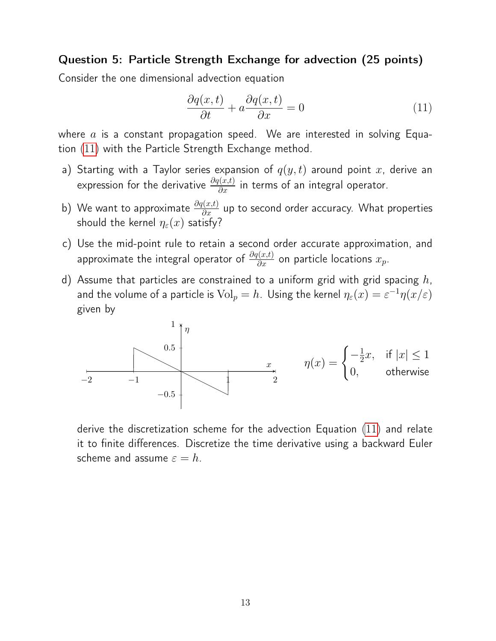#### Question 5: Particle Strength Exchange for advection (25 points)

Consider the one dimensional advection equation

<span id="page-12-0"></span>
$$
\frac{\partial q(x,t)}{\partial t} + a \frac{\partial q(x,t)}{\partial x} = 0 \tag{11}
$$

where  $a$  is a constant propagation speed. We are interested in solving Equation [\(11\)](#page-12-0) with the Particle Strength Exchange method.

- a) Starting with a Taylor series expansion of  $q(y, t)$  around point x, derive an expression for the derivative  $\frac{\partial q(x,t)}{\partial x}$  in terms of an integral operator.
- b) We want to approximate  $\frac{\partial q(x,t)}{\partial x}$  up to second order accuracy. What properties should the kernel  $\eta_{\varepsilon}(x)$  satisfy?
- c) Use the mid-point rule to retain a second order accurate approximation, and approximate the integral operator of  $\frac{\partial q(x,t)}{\partial x}$  on particle locations  $x_p$ .
- d) Assume that particles are constrained to a uniform grid with grid spacing  $h$ , and the volume of a particle is  $\text{Vol}_p=h$ . Using the kernel  $\eta_\varepsilon(x)=\varepsilon^{-1}\eta(x/\varepsilon)$ given by

$$
\begin{array}{ccc}\n & & 1 \\
 & \uparrow & \\
 & & 0.5 \\
\hline\n-2 & & -1\n\end{array}\n\qquad\n\begin{array}{c}\n & & \\
 & & \\
 & & \\
 & & \\
 & & \\
 & & -0.5\n\end{array}\n\qquad\n\begin{array}{c}\n & & \\
 & x \\
 & 2\n\end{array}\n\qquad\n\eta(x) = \begin{cases}\n-\frac{1}{2}x, & \text{if } |x| \le 1 \\
0, & \text{otherwise}\n\end{cases}
$$

derive the discretization scheme for the advection Equation [\(11\)](#page-12-0) and relate it to finite differences. Discretize the time derivative using a backward Euler scheme and assume  $\varepsilon = h$ .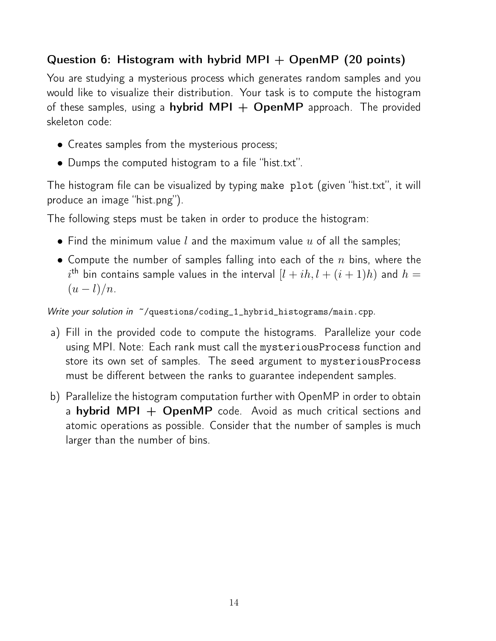## Question 6: Histogram with hybrid MPI  $+$  OpenMP (20 points)

You are studying a mysterious process which generates random samples and you would like to visualize their distribution. Your task is to compute the histogram of these samples, using a **hybrid MPI + OpenMP** approach. The provided skeleton code:

- Creates samples from the mysterious process;
- Dumps the computed histogram to a file "hist.txt".

The histogram file can be visualized by typing make plot (given "hist.txt", it will produce an image "hist.png").

The following steps must be taken in order to produce the histogram:

- Find the minimum value  $l$  and the maximum value  $u$  of all the samples;
- Compute the number of samples falling into each of the  $n$  bins, where the  $i^{\text{th}}$  bin contains sample values in the interval  $[l+ih,l+(i+1)h)$  and  $h=1$  $(u-l)/n$ .

Write your solution in  $\tilde{\phantom{a}}$ /questions/coding\_1\_hybrid\_histograms/main.cpp.

- a) Fill in the provided code to compute the histograms. Parallelize your code using MPI. Note: Each rank must call the mysteriousProcess function and store its own set of samples. The seed argument to mysteriousProcess must be different between the ranks to guarantee independent samples.
- b) Parallelize the histogram computation further with OpenMP in order to obtain a hybrid MPI  $+$  OpenMP code. Avoid as much critical sections and atomic operations as possible. Consider that the number of samples is much larger than the number of bins.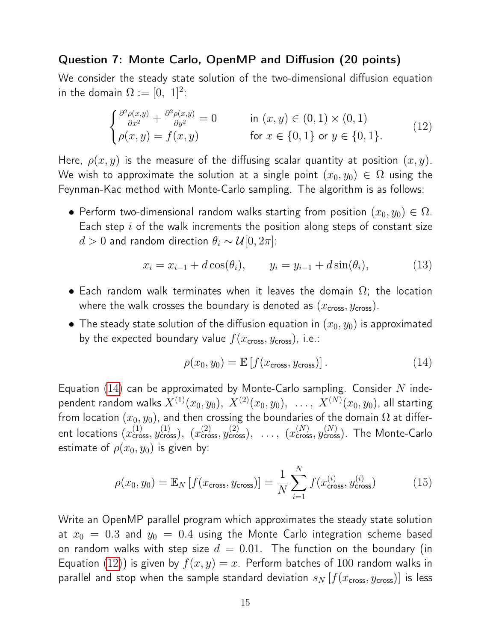#### Question 7: Monte Carlo, OpenMP and Diffusion (20 points)

We consider the steady state solution of the two-dimensional diffusion equation in the domain  $\Omega:=[0,~1]^2$ :

<span id="page-14-1"></span>
$$
\begin{cases} \frac{\partial^2 \rho(x,y)}{\partial x^2} + \frac{\partial^2 \rho(x,y)}{\partial y^2} = 0 & \text{in } (x, y) \in (0, 1) \times (0, 1) \\ \rho(x, y) = f(x, y) & \text{for } x \in \{0, 1\} \text{ or } y \in \{0, 1\}. \end{cases}
$$
(12)

Here,  $\rho(x, y)$  is the measure of the diffusing scalar quantity at position  $(x, y)$ . We wish to approximate the solution at a single point  $(x_0, y_0) \in \Omega$  using the Feynman-Kac method with Monte-Carlo sampling. The algorithm is as follows:

• Perform two-dimensional random walks starting from position  $(x_0, y_0) \in \Omega$ . Each step  $i$  of the walk increments the position along steps of constant size  $d > 0$  and random direction  $\theta_i \sim \mathcal{U}[0, 2\pi]$ :

$$
x_i = x_{i-1} + d\cos(\theta_i), \qquad y_i = y_{i-1} + d\sin(\theta_i), \tag{13}
$$

- Each random walk terminates when it leaves the domain  $\Omega$ ; the location where the walk crosses the boundary is denoted as  $(x_{\text{cross}}, y_{\text{cross}})$ .
- The steady state solution of the diffusion equation in  $(x_0, y_0)$  is approximated by the expected boundary value  $f(x_{\text{cross}}, y_{\text{cross}})$ , i.e.:

<span id="page-14-0"></span>
$$
\rho(x_0, y_0) = \mathbb{E}\left[f(x_{\text{cross}}, y_{\text{cross}})\right].\tag{14}
$$

Equation  $(14)$  can be approximated by Monte-Carlo sampling. Consider N independent random walks  $X^{(1)}(x_0,y_0),\; X^{(2)}(x_0,y_0),\; \ldots,\; X^{(N)}(x_0,y_0),$  all starting from location  $(x_0, y_0)$ , and then crossing the boundaries of the domain  $\Omega$  at different locations  $(x_{\text{cross}}^{(1)}, y_{\text{cross}}^{(1)}),~$   $(x_{\text{cross}}^{(2)}, y_{\text{cross}}^{(2)}),~$   $\ldots,~$   $(x_{\text{cross}}^{(N)}, y_{\text{cross}}^{(N)})$ . The Monte-Carlo estimate of  $\rho(x_0, y_0)$  is given by:

<span id="page-14-2"></span>
$$
\rho(x_0, y_0) = \mathbb{E}_N \left[ f(x_{\text{cross}}, y_{\text{cross}}) \right] = \frac{1}{N} \sum_{i=1}^N f(x_{\text{cross}}^{(i)}, y_{\text{cross}}^{(i)}) \tag{15}
$$

Write an OpenMP parallel program which approximates the steady state solution at  $x_0 = 0.3$  and  $y_0 = 0.4$  using the Monte Carlo integration scheme based on random walks with step size  $d = 0.01$ . The function on the boundary (in Equation [\(12\)](#page-14-1)) is given by  $f(x, y) = x$ . Perform batches of 100 random walks in parallel and stop when the sample standard deviation  $s_N$   $[f(x_{\text{cross}}, y_{\text{cross}})]$  is less